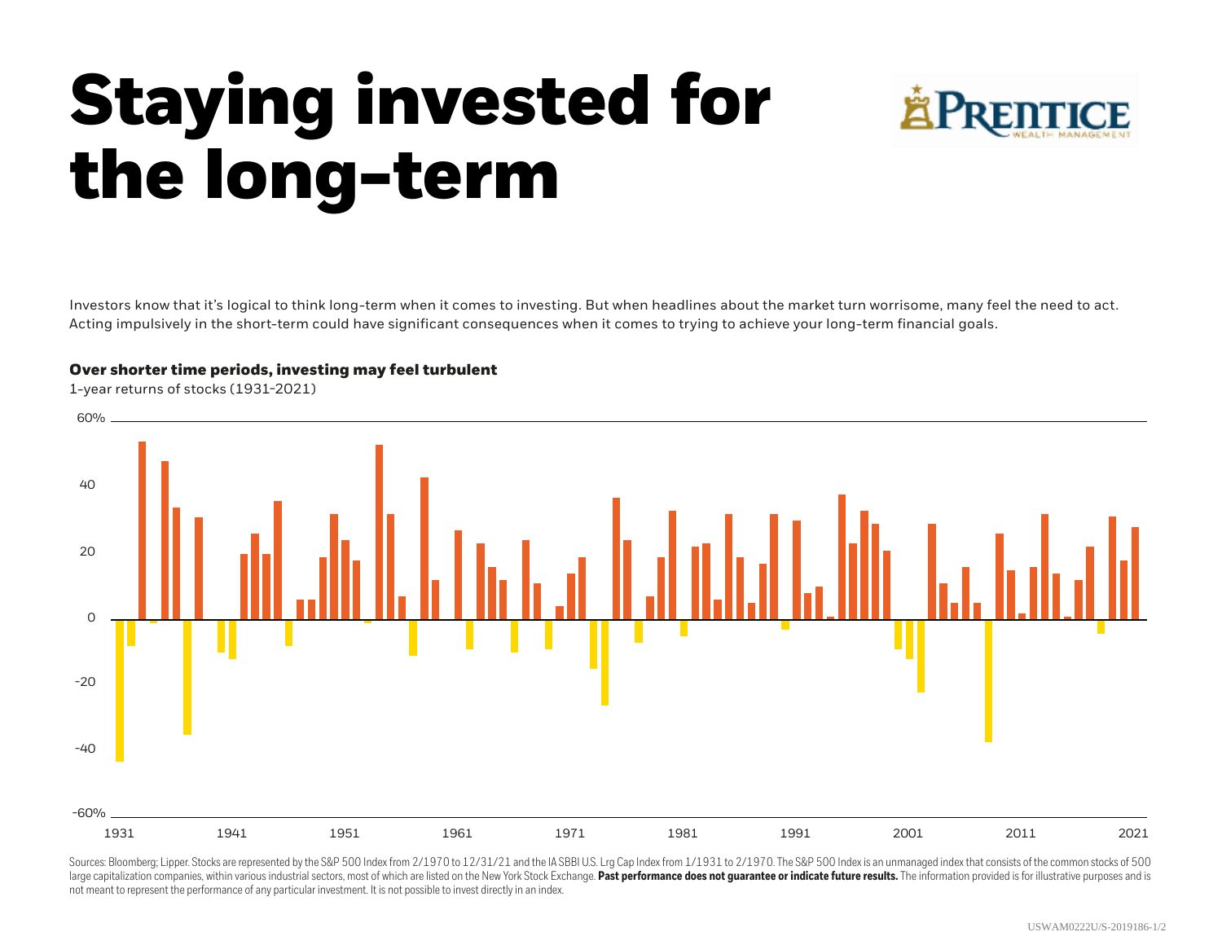## **Staying invested for the long-term**



Investors know that it's logical to think long-term when it comes to investing. But when headlines about the market turn worrisome, many feel the need to act. Acting impulsively in the short-term could have significant consequences when it comes to trying to achieve your long-term financial goals.



Sources: Bloomberg; Lipper. Stocks are represented by the S&P 500 Index from 2/1970 to 12/31/21 and the IA SBBI U.S. Lrg Cap Index from 1/1931 to 2/1970. The S&P 500 Index is an unmanaged index that consists of the common large capitalization companies, within various industrial sectors, most of which are listed on the New York Stock Exchange. Past performance does not quarantee or indicate future results. The information provided is for il not meant to represent the performance of any particular investment. It is not possible to invest directly in an index.

## **Over shorter time periods, investing may feel turbulent**

1-year returns of stocks (1931-2021)